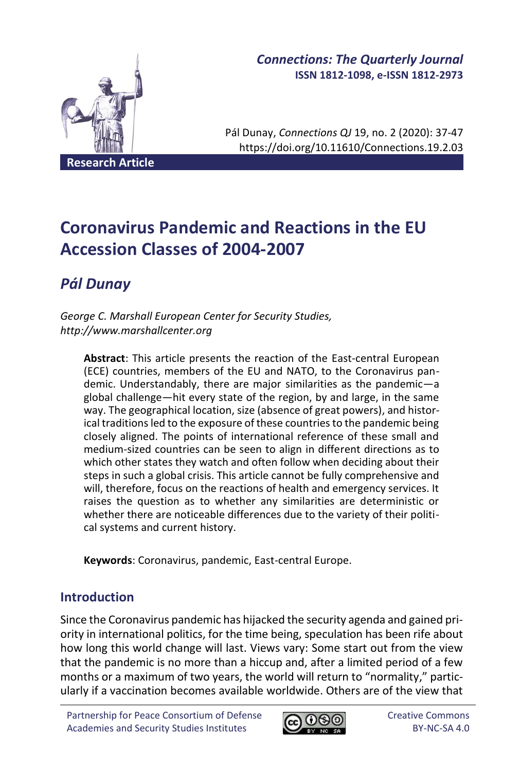

# *Connections: The Quarterly Journal* **ISSN 1812-1098, e-ISSN 1812-2973**

Pál Dunay, *Connections QJ* 19, no. 2 (2020): 37-47 https://doi.org/10.11610/Connections.19.2.03

# **Coronavirus Pandemic and Reactions in the EU Accession Classes of 2004-2007**

# *Pál Dunay*

*George C. Marshall European Center for Security Studies, http://www.marshallcenter.org*

**Abstract**: This article presents the reaction of the East-central European (ECE) countries, members of the EU and NATO, to the Coronavirus pandemic. Understandably, there are major similarities as the pandemic—a global challenge—hit every state of the region, by and large, in the same way. The geographical location, size (absence of great powers), and historical traditions led to the exposure of these countries to the pandemic being closely aligned. The points of international reference of these small and medium-sized countries can be seen to align in different directions as to which other states they watch and often follow when deciding about their steps in such a global crisis. This article cannot be fully comprehensive and will, therefore, focus on the reactions of health and emergency services. It raises the question as to whether any similarities are deterministic or whether there are noticeable differences due to the variety of their political systems and current history.

**Keywords**: Coronavirus, pandemic, East-central Europe.

# **Introduction**

Since the Coronavirus pandemic has hijacked the security agenda and gained priority in international politics, for the time being, speculation has been rife about how long this world change will last. Views vary: Some start out from the view that the pandemic is no more than a hiccup and, after a limited period of a few months or a maximum of two years, the world will return to "normality," particularly if a vaccination becomes available worldwide. Others are of the view that

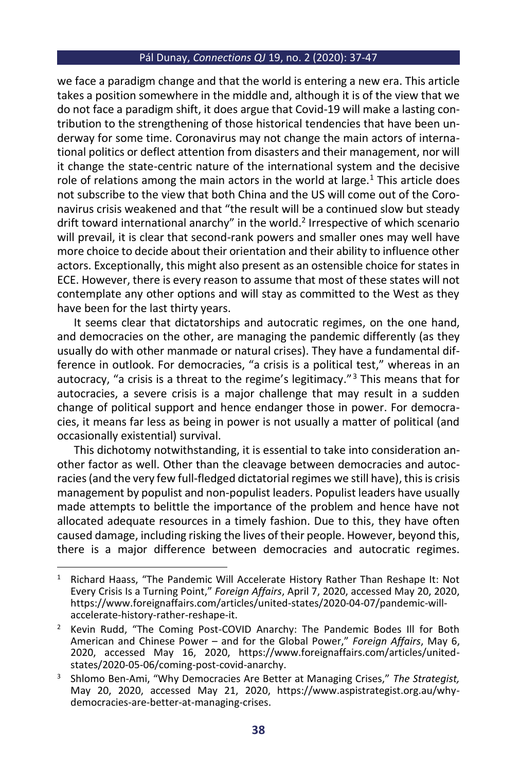we face a paradigm change and that the world is entering a new era. This article takes a position somewhere in the middle and, although it is of the view that we do not face a paradigm shift, it does argue that Covid-19 will make a lasting contribution to the strengthening of those historical tendencies that have been underway for some time. Coronavirus may not change the main actors of international politics or deflect attention from disasters and their management, nor will it change the state-centric nature of the international system and the decisive role of relations among the main actors in the world at large.<sup>1</sup> This article does not subscribe to the view that both China and the US will come out of the Coronavirus crisis weakened and that "the result will be a continued slow but steady drift toward international anarchy" in the world.<sup>2</sup> Irrespective of which scenario will prevail, it is clear that second-rank powers and smaller ones may well have more choice to decide about their orientation and their ability to influence other actors. Exceptionally, this might also present as an ostensible choice for states in ECE. However, there is every reason to assume that most of these states will not contemplate any other options and will stay as committed to the West as they have been for the last thirty years.

It seems clear that dictatorships and autocratic regimes, on the one hand, and democracies on the other, are managing the pandemic differently (as they usually do with other manmade or natural crises). They have a fundamental difference in outlook. For democracies, "a crisis is a political test," whereas in an autocracy, "a crisis is a threat to the regime's legitimacy."<sup>3</sup> This means that for autocracies, a severe crisis is a major challenge that may result in a sudden change of political support and hence endanger those in power. For democracies, it means far less as being in power is not usually a matter of political (and occasionally existential) survival.

This dichotomy notwithstanding, it is essential to take into consideration another factor as well. Other than the cleavage between democracies and autocracies (and the very few full-fledged dictatorial regimes we still have), this is crisis management by populist and non-populist leaders. Populist leaders have usually made attempts to belittle the importance of the problem and hence have not allocated adequate resources in a timely fashion. Due to this, they have often caused damage, including risking the lives of their people. However, beyond this, there is a major difference between democracies and autocratic regimes.

<sup>&</sup>lt;sup>1</sup> Richard Haass, "The Pandemic Will Accelerate History Rather Than Reshape It: Not Every Crisis Is a Turning Point," *Foreign Affairs*, April 7, 2020, accessed May 20, 2020, https://www.foreignaffairs.com/articles/united-states/2020-04-07/pandemic-willaccelerate-history-rather-reshape-it.

<sup>2</sup> Kevin Rudd, "The Coming Post-COVID Anarchy: The Pandemic Bodes Ill for Both American and Chinese Power – and for the Global Power," *Foreign Affairs*, May 6, 2020, accessed May 16, 2020, https://www.foreignaffairs.com/articles/unitedstates/2020-05-06/coming-post-covid-anarchy.

<sup>3</sup> Shlomo Ben-Ami, "Why Democracies Are Better at Managing Crises," *The Strategist,*  May 20, 2020, accessed May 21, 2020, https://www.aspistrategist.org.au/whydemocracies-are-better-at-managing-crises.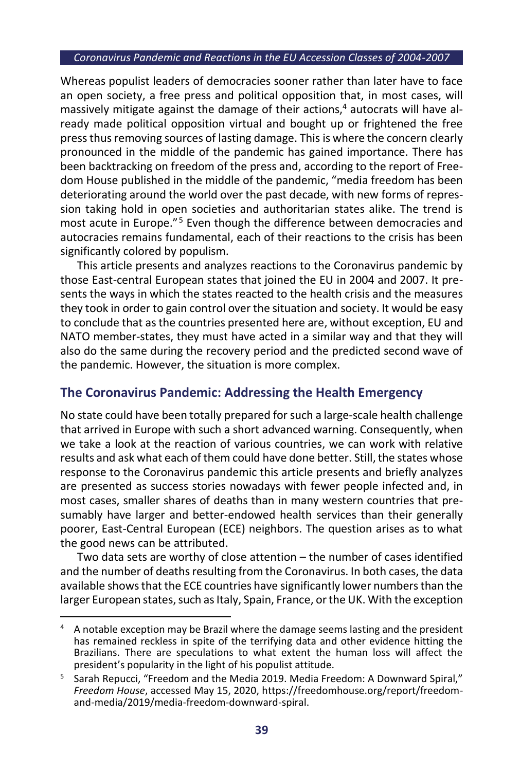Whereas populist leaders of democracies sooner rather than later have to face an open society, a free press and political opposition that, in most cases, will massively mitigate against the damage of their actions, <sup>4</sup> autocrats will have already made political opposition virtual and bought up or frightened the free press thus removing sources of lasting damage. This is where the concern clearly pronounced in the middle of the pandemic has gained importance. There has been backtracking on freedom of the press and, according to the report of Freedom House published in the middle of the pandemic, "media freedom has been deteriorating around the world over the past decade, with new forms of repression taking hold in open societies and authoritarian states alike. The trend is most acute in Europe."<sup>5</sup> Even though the difference between democracies and autocracies remains fundamental, each of their reactions to the crisis has been significantly colored by populism.

This article presents and analyzes reactions to the Coronavirus pandemic by those East-central European states that joined the EU in 2004 and 2007. It presents the ways in which the states reacted to the health crisis and the measures they took in order to gain control over the situation and society. It would be easy to conclude that as the countries presented here are, without exception, EU and NATO member-states, they must have acted in a similar way and that they will also do the same during the recovery period and the predicted second wave of the pandemic. However, the situation is more complex.

## **The Coronavirus Pandemic: Addressing the Health Emergency**

No state could have been totally prepared for such a large-scale health challenge that arrived in Europe with such a short advanced warning. Consequently, when we take a look at the reaction of various countries, we can work with relative results and ask what each of them could have done better. Still, the states whose response to the Coronavirus pandemic this article presents and briefly analyzes are presented as success stories nowadays with fewer people infected and, in most cases, smaller shares of deaths than in many western countries that presumably have larger and better-endowed health services than their generally poorer, East-Central European (ECE) neighbors. The question arises as to what the good news can be attributed.

Two data sets are worthy of close attention – the number of cases identified and the number of deaths resulting from the Coronavirus. In both cases, the data available shows that the ECE countries have significantly lower numbers than the larger European states, such as Italy, Spain, France, or the UK. With the exception

<sup>4</sup> A notable exception may be Brazil where the damage seems lasting and the president has remained reckless in spite of the terrifying data and other evidence hitting the Brazilians. There are speculations to what extent the human loss will affect the president's popularity in the light of his populist attitude.

<sup>&</sup>lt;sup>5</sup> Sarah Repucci, "Freedom and the Media 2019. Media Freedom: A Downward Spiral," *Freedom House*, accessed May 15, 2020, https://freedomhouse.org/report/freedomand-media/2019/media-freedom-downward-spiral.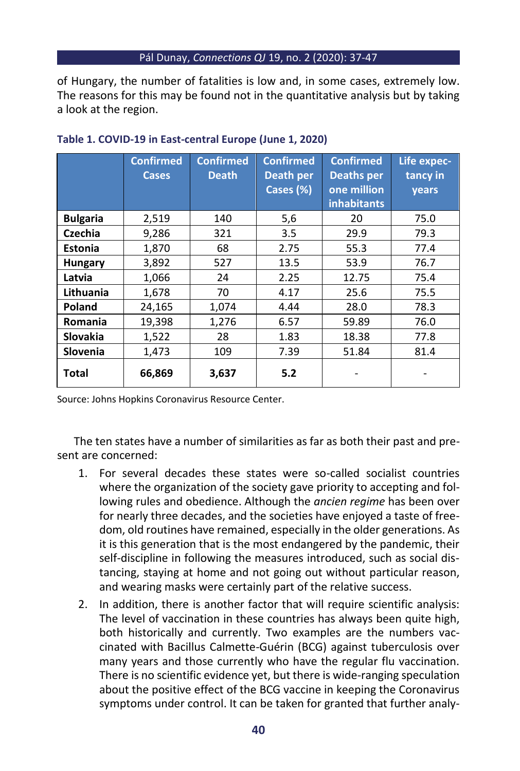of Hungary, the number of fatalities is low and, in some cases, extremely low. The reasons for this may be found not in the quantitative analysis but by taking a look at the region.

|                 | <b>Confirmed</b><br><b>Cases</b> | <b>Confirmed</b><br><b>Death</b> | <b>Confirmed</b><br>Death per<br>Cases (%) | <b>Confirmed</b><br><b>Deaths per</b><br>one million<br><b>inhabitants</b> | Life expec-<br>tancy in<br>years |
|-----------------|----------------------------------|----------------------------------|--------------------------------------------|----------------------------------------------------------------------------|----------------------------------|
| <b>Bulgaria</b> | 2,519                            | 140                              | 5,6                                        | 20                                                                         | 75.0                             |
| Czechia         | 9,286                            | 321                              | 3.5                                        | 29.9                                                                       | 79.3                             |
| <b>Estonia</b>  | 1,870                            | 68                               | 2.75                                       | 55.3                                                                       | 77.4                             |
| <b>Hungary</b>  | 3,892                            | 527                              | 13.5                                       | 53.9                                                                       | 76.7                             |
| Latvia          | 1,066                            | 24                               | 2.25                                       | 12.75                                                                      | 75.4                             |
| Lithuania       | 1,678                            | 70                               | 4.17                                       | 25.6                                                                       | 75.5                             |
| Poland          | 24,165                           | 1,074                            | 4.44                                       | 28.0                                                                       | 78.3                             |
| Romania         | 19,398                           | 1,276                            | 6.57                                       | 59.89                                                                      | 76.0                             |
| <b>Slovakia</b> | 1,522                            | 28                               | 1.83                                       | 18.38                                                                      | 77.8                             |
| <b>Slovenia</b> | 1,473                            | 109                              | 7.39                                       | 51.84                                                                      | 81.4                             |
| Total           | 66,869                           | 3,637                            | 5.2                                        |                                                                            |                                  |

## **Table 1. COVID-19 in East-central Europe (June 1, 2020)**

Source: Johns Hopkins Coronavirus Resource Center.

The ten states have a number of similarities as far as both their past and present are concerned:

- 1. For several decades these states were so-called socialist countries where the organization of the society gave priority to accepting and following rules and obedience. Although the *ancien regime* has been over for nearly three decades, and the societies have enjoyed a taste of freedom, old routines have remained, especially in the older generations. As it is this generation that is the most endangered by the pandemic, their self-discipline in following the measures introduced, such as social distancing, staying at home and not going out without particular reason, and wearing masks were certainly part of the relative success.
- 2. In addition, there is another factor that will require scientific analysis: The level of vaccination in these countries has always been quite high, both historically and currently. Two examples are the numbers vaccinated with Bacillus Calmette-Guérin (BCG) against tuberculosis over many years and those currently who have the regular flu vaccination. There is no scientific evidence yet, but there is wide-ranging speculation about the positive effect of the BCG vaccine in keeping the Coronavirus symptoms under control. It can be taken for granted that further analy-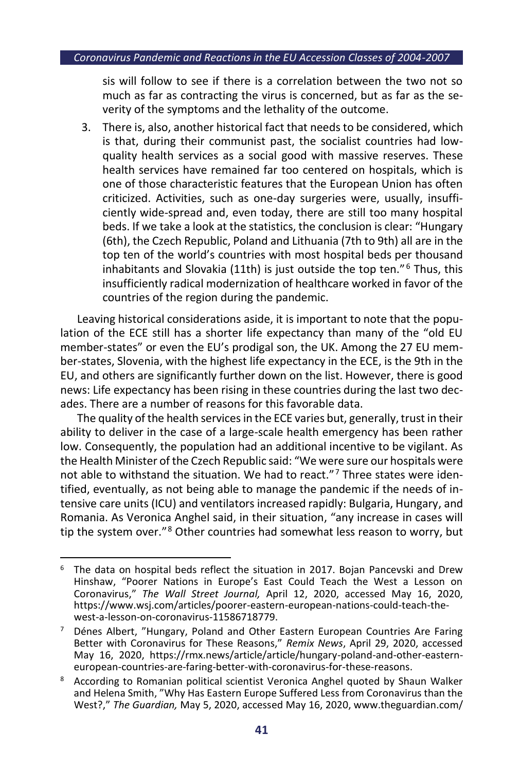sis will follow to see if there is a correlation between the two not so much as far as contracting the virus is concerned, but as far as the severity of the symptoms and the lethality of the outcome.

3. There is, also, another historical fact that needs to be considered, which is that, during their communist past, the socialist countries had lowquality health services as a social good with massive reserves. These health services have remained far too centered on hospitals, which is one of those characteristic features that the European Union has often criticized. Activities, such as one-day surgeries were, usually, insufficiently wide-spread and, even today, there are still too many hospital beds. If we take a look at the statistics, the conclusion is clear: "Hungary (6th), the Czech Republic, Poland and Lithuania (7th to 9th) all are in the top ten of the world's countries with most hospital beds per thousand inhabitants and Slovakia (11th) is just outside the top ten."<sup>6</sup> Thus, this insufficiently radical modernization of healthcare worked in favor of the countries of the region during the pandemic.

Leaving historical considerations aside, it is important to note that the population of the ECE still has a shorter life expectancy than many of the "old EU member-states" or even the EU's prodigal son, the UK. Among the 27 EU member-states, Slovenia, with the highest life expectancy in the ECE, is the 9th in the EU, and others are significantly further down on the list. However, there is good news: Life expectancy has been rising in these countries during the last two decades. There are a number of reasons for this favorable data.

The quality of the health services in the ECE varies but, generally, trust in their ability to deliver in the case of a large-scale health emergency has been rather low. Consequently, the population had an additional incentive to be vigilant. As the Health Minister of the Czech Republic said: "We were sure our hospitals were not able to withstand the situation. We had to react." $7$  Three states were identified, eventually, as not being able to manage the pandemic if the needs of intensive care units (ICU) and ventilators increased rapidly: Bulgaria, Hungary, and Romania. As Veronica Anghel said, in their situation, "any increase in cases will tip the system over."<sup>8</sup> Other countries had somewhat less reason to worry, but

<sup>6</sup> The data on hospital beds reflect the situation in 2017. Bojan Pancevski and Drew Hinshaw, "Poorer Nations in Europe's East Could Teach the West a Lesson on Coronavirus," *The Wall Street Journal,* April 12, 2020, accessed May 16, 2020, https://www.wsj.com/articles/poorer-eastern-european-nations-could-teach-thewest-a-lesson-on-coronavirus-11586718779.

Dénes Albert, "Hungary, Poland and Other Eastern European Countries Are Faring Better with Coronavirus for These Reasons," *Remix News*, April 29, 2020, accessed May 16, 2020, https://rmx.news/article/article/hungary-poland-and-other-easterneuropean-countries-are-faring-better-with-coronavirus-for-these-reasons.

<sup>8</sup> According to Romanian political scientist Veronica Anghel quoted by Shaun Walker and Helena Smith, "Why Has Eastern Europe Suffered Less from Coronavirus than the West?," *The Guardian,* May 5, 2020, accessed May 16, 2020, www.theguardian.com/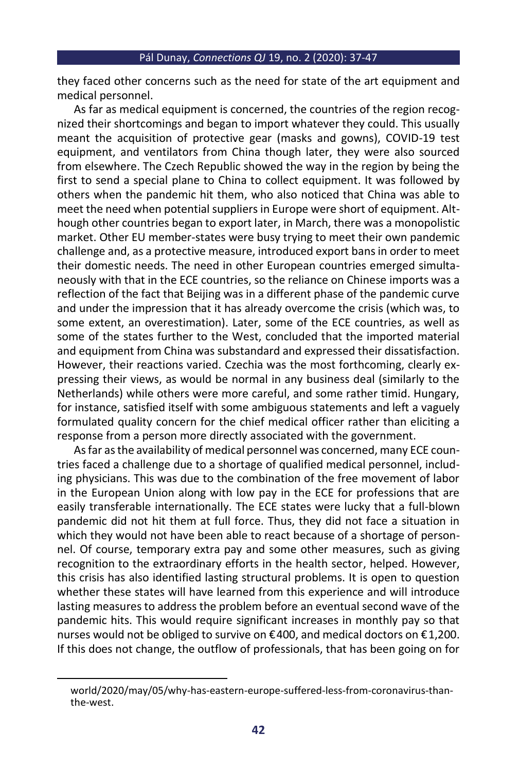they faced other concerns such as the need for state of the art equipment and medical personnel.

As far as medical equipment is concerned, the countries of the region recognized their shortcomings and began to import whatever they could. This usually meant the acquisition of protective gear (masks and gowns), COVID-19 test equipment, and ventilators from China though later, they were also sourced from elsewhere. The Czech Republic showed the way in the region by being the first to send a special plane to China to collect equipment. It was followed by others when the pandemic hit them, who also noticed that China was able to meet the need when potential suppliers in Europe were short of equipment. Although other countries began to export later, in March, there was a monopolistic market. Other EU member-states were busy trying to meet their own pandemic challenge and, as a protective measure, introduced export bans in order to meet their domestic needs. The need in other European countries emerged simultaneously with that in the ECE countries, so the reliance on Chinese imports was a reflection of the fact that Beijing was in a different phase of the pandemic curve and under the impression that it has already overcome the crisis (which was, to some extent, an overestimation). Later, some of the ECE countries, as well as some of the states further to the West, concluded that the imported material and equipment from China was substandard and expressed their dissatisfaction. However, their reactions varied. Czechia was the most forthcoming, clearly expressing their views, as would be normal in any business deal (similarly to the Netherlands) while others were more careful, and some rather timid. Hungary, for instance, satisfied itself with some ambiguous statements and left a vaguely formulated quality concern for the chief medical officer rather than eliciting a response from a person more directly associated with the government.

As far as the availability of medical personnel was concerned, many ECE countries faced a challenge due to a shortage of qualified medical personnel, including physicians. This was due to the combination of the free movement of labor in the European Union along with low pay in the ECE for professions that are easily transferable internationally. The ECE states were lucky that a full-blown pandemic did not hit them at full force. Thus, they did not face a situation in which they would not have been able to react because of a shortage of personnel. Of course, temporary extra pay and some other measures, such as giving recognition to the extraordinary efforts in the health sector, helped. However, this crisis has also identified lasting structural problems. It is open to question whether these states will have learned from this experience and will introduce lasting measures to address the problem before an eventual second wave of the pandemic hits. This would require significant increases in monthly pay so that nurses would not be obliged to survive on €400, and medical doctors on €1,200. If this does not change, the outflow of professionals, that has been going on for

world/2020/may/05/why-has-eastern-europe-suffered-less-from-coronavirus-thanthe-west.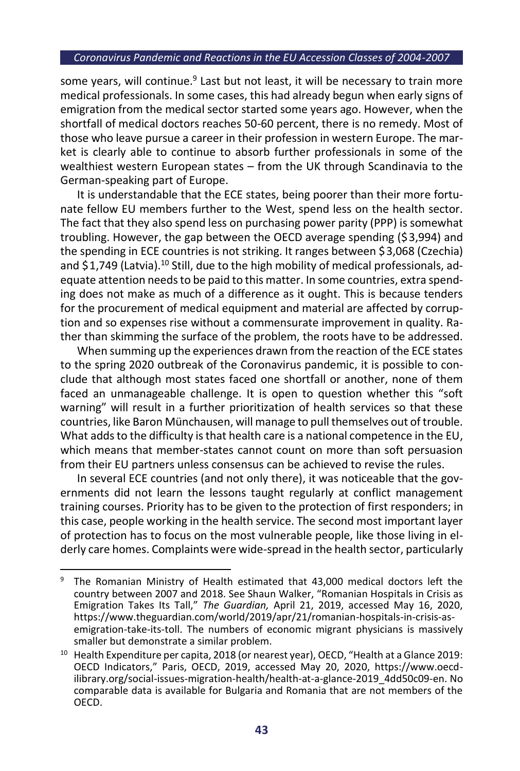some years, will continue.<sup>9</sup> Last but not least, it will be necessary to train more medical professionals. In some cases, this had already begun when early signs of emigration from the medical sector started some years ago. However, when the shortfall of medical doctors reaches 50-60 percent, there is no remedy. Most of those who leave pursue a career in their profession in western Europe. The market is clearly able to continue to absorb further professionals in some of the wealthiest western European states – from the UK through Scandinavia to the German-speaking part of Europe.

It is understandable that the ECE states, being poorer than their more fortunate fellow EU members further to the West, spend less on the health sector. The fact that they also spend less on purchasing power parity (PPP) is somewhat troubling. However, the gap between the OECD average spending (\$3,994) and the spending in ECE countries is not striking. It ranges between \$3,068 (Czechia) and  $$1,749$  (Latvia).<sup>10</sup> Still, due to the high mobility of medical professionals, adequate attention needs to be paid to this matter. In some countries, extra spending does not make as much of a difference as it ought. This is because tenders for the procurement of medical equipment and material are affected by corruption and so expenses rise without a commensurate improvement in quality. Rather than skimming the surface of the problem, the roots have to be addressed.

When summing up the experiences drawn from the reaction of the ECE states to the spring 2020 outbreak of the Coronavirus pandemic, it is possible to conclude that although most states faced one shortfall or another, none of them faced an unmanageable challenge. It is open to question whether this "soft warning" will result in a further prioritization of health services so that these countries, like Baron Münchausen, will manage to pull themselves out of trouble. What adds to the difficulty is that health care is a national competence in the EU, which means that member-states cannot count on more than soft persuasion from their EU partners unless consensus can be achieved to revise the rules.

In several ECE countries (and not only there), it was noticeable that the governments did not learn the lessons taught regularly at conflict management training courses. Priority has to be given to the protection of first responders; in this case, people working in the health service. The second most important layer of protection has to focus on the most vulnerable people, like those living in elderly care homes. Complaints were wide-spread in the health sector, particularly

<sup>&</sup>lt;sup>9</sup> The Romanian Ministry of Health estimated that 43,000 medical doctors left the country between 2007 and 2018. See Shaun Walker, "Romanian Hospitals in Crisis as Emigration Takes Its Tall," *The Guardian,* April 21, 2019, accessed May 16, 2020, https://www.theguardian.com/world/2019/apr/21/romanian-hospitals-in-crisis-asemigration-take-its-toll. The numbers of economic migrant physicians is massively smaller but demonstrate a similar problem.

<sup>&</sup>lt;sup>10</sup> Health Expenditure per capita, 2018 (or nearest year), OECD, "Health at a Glance 2019: OECD Indicators," Paris, OECD, 2019, accessed May 20, 2020, https://www.oecdilibrary.org/social-issues-migration-health/health-at-a-glance-2019\_4dd50c09-en. No comparable data is available for Bulgaria and Romania that are not members of the OECD.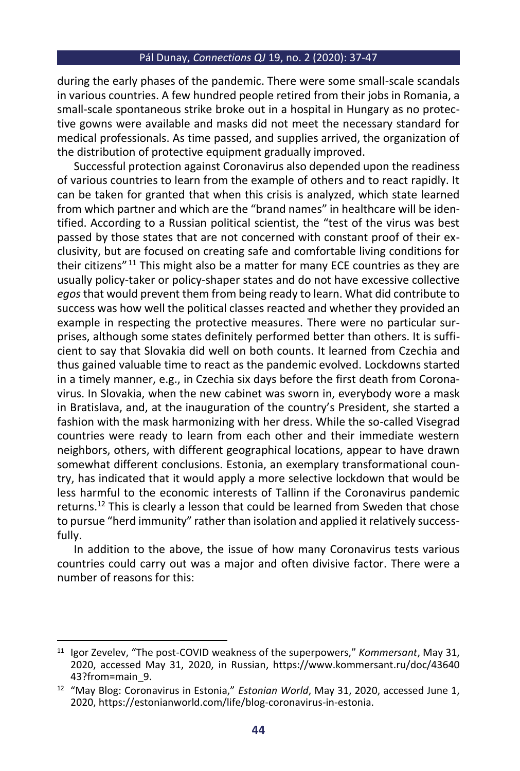during the early phases of the pandemic. There were some small-scale scandals in various countries. A few hundred people retired from their jobs in Romania, a small-scale spontaneous strike broke out in a hospital in Hungary as no protective gowns were available and masks did not meet the necessary standard for medical professionals. As time passed, and supplies arrived, the organization of the distribution of protective equipment gradually improved.

Successful protection against Coronavirus also depended upon the readiness of various countries to learn from the example of others and to react rapidly. It can be taken for granted that when this crisis is analyzed, which state learned from which partner and which are the "brand names" in healthcare will be identified. According to a Russian political scientist, the "test of the virus was best passed by those states that are not concerned with constant proof of their exclusivity, but are focused on creating safe and comfortable living conditions for their citizens" <sup>11</sup> This might also be a matter for many ECE countries as they are usually policy-taker or policy-shaper states and do not have excessive collective *egos* that would prevent them from being ready to learn. What did contribute to success was how well the political classes reacted and whether they provided an example in respecting the protective measures. There were no particular surprises, although some states definitely performed better than others. It is sufficient to say that Slovakia did well on both counts. It learned from Czechia and thus gained valuable time to react as the pandemic evolved. Lockdowns started in a timely manner, e.g., in Czechia six days before the first death from Coronavirus. In Slovakia, when the new cabinet was sworn in, everybody wore a mask in Bratislava, and, at the inauguration of the country's President, she started a fashion with the mask harmonizing with her dress. While the so-called Visegrad countries were ready to learn from each other and their immediate western neighbors, others, with different geographical locations, appear to have drawn somewhat different conclusions. Estonia, an exemplary transformational country, has indicated that it would apply a more selective lockdown that would be less harmful to the economic interests of Tallinn if the Coronavirus pandemic returns.<sup>12</sup> This is clearly a lesson that could be learned from Sweden that chose to pursue "herd immunity" rather than isolation and applied it relatively successfully.

In addition to the above, the issue of how many Coronavirus tests various countries could carry out was a major and often divisive factor. There were a number of reasons for this:

<sup>11</sup> Igor Zevelev, "The post-COVID weakness of the superpowers," *Kommersant*, May 31, 2020, accessed May 31, 2020, in Russian, https://www.kommersant.ru/doc/43640 43?from=main\_9.

<sup>&</sup>lt;sup>12</sup> "May Blog: Coronavirus in Estonia," *Estonian World*, May 31, 2020, accessed June 1, 2020, https://estonianworld.com/life/blog-coronavirus-in-estonia.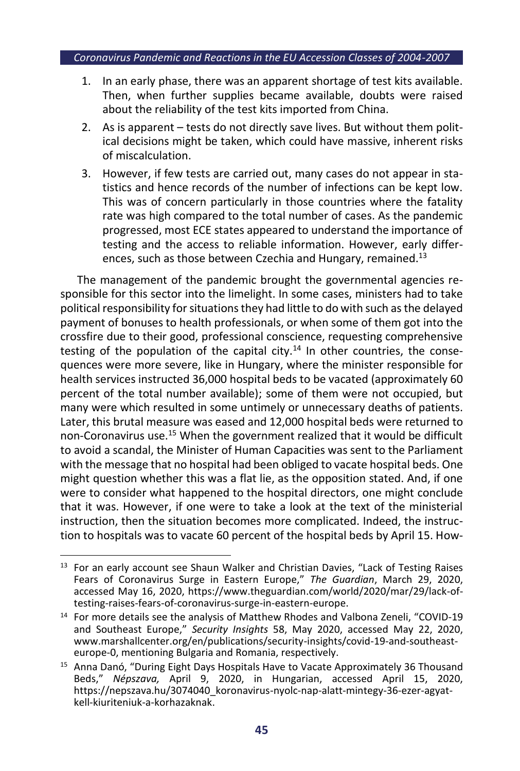- 1. In an early phase, there was an apparent shortage of test kits available. Then, when further supplies became available, doubts were raised about the reliability of the test kits imported from China.
- 2. As is apparent tests do not directly save lives. But without them political decisions might be taken, which could have massive, inherent risks of miscalculation.
- 3. However, if few tests are carried out, many cases do not appear in statistics and hence records of the number of infections can be kept low. This was of concern particularly in those countries where the fatality rate was high compared to the total number of cases. As the pandemic progressed, most ECE states appeared to understand the importance of testing and the access to reliable information. However, early differences, such as those between Czechia and Hungary, remained.<sup>13</sup>

The management of the pandemic brought the governmental agencies responsible for this sector into the limelight. In some cases, ministers had to take political responsibility for situations they had little to do with such as the delayed payment of bonuses to health professionals, or when some of them got into the crossfire due to their good, professional conscience, requesting comprehensive testing of the population of the capital city.<sup>14</sup> In other countries, the consequences were more severe, like in Hungary, where the minister responsible for health services instructed 36,000 hospital beds to be vacated (approximately 60 percent of the total number available); some of them were not occupied, but many were which resulted in some untimely or unnecessary deaths of patients. Later, this brutal measure was eased and 12,000 hospital beds were returned to non-Coronavirus use.<sup>15</sup> When the government realized that it would be difficult to avoid a scandal, the Minister of Human Capacities was sent to the Parliament with the message that no hospital had been obliged to vacate hospital beds. One might question whether this was a flat lie, as the opposition stated. And, if one were to consider what happened to the hospital directors, one might conclude that it was. However, if one were to take a look at the text of the ministerial instruction, then the situation becomes more complicated. Indeed, the instruction to hospitals was to vacate 60 percent of the hospital beds by April 15. How-

<sup>&</sup>lt;sup>13</sup> For an early account see Shaun Walker and Christian Davies, "Lack of Testing Raises Fears of Coronavirus Surge in Eastern Europe," *The Guardian*, March 29, 2020, accessed May 16, 2020, https://www.theguardian.com/world/2020/mar/29/lack-oftesting-raises-fears-of-coronavirus-surge-in-eastern-europe.

<sup>&</sup>lt;sup>14</sup> For more details see the analysis of Matthew Rhodes and Valbona Zeneli, "COVID-19 and Southeast Europe," *Security Insights* 58, May 2020, accessed May 22, 2020, www.marshallcenter.org/en/publications/security-insights/covid-19-and-southeasteurope-0, mentioning Bulgaria and Romania, respectively.

<sup>&</sup>lt;sup>15</sup> Anna Danó, "During Eight Days Hospitals Have to Vacate Approximately 36 Thousand Beds," *Népszava,* April 9, 2020, in Hungarian, accessed April 15, 2020, https://nepszava.hu/3074040\_koronavirus-nyolc-nap-alatt-mintegy-36-ezer-agyatkell-kiuriteniuk-a-korhazaknak.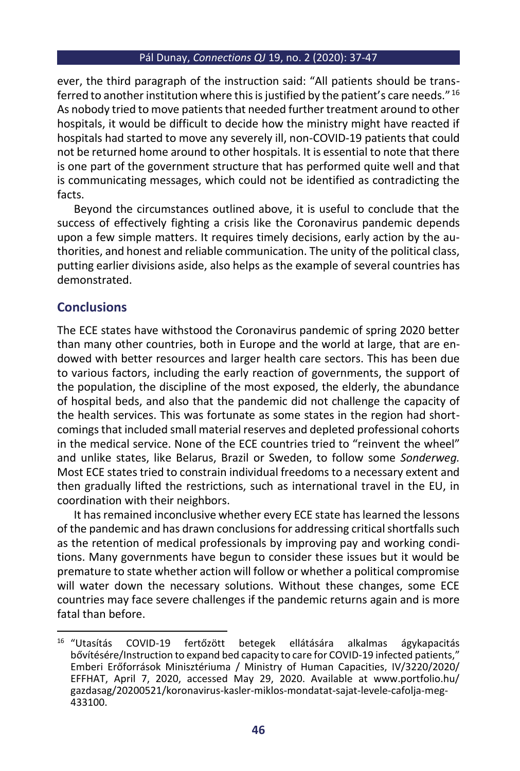ever, the third paragraph of the instruction said: "All patients should be transferred to another institution where this is justified by the patient's care needs." <sup>16</sup> As nobody tried to move patients that needed further treatment around to other hospitals, it would be difficult to decide how the ministry might have reacted if hospitals had started to move any severely ill, non-COVID-19 patients that could not be returned home around to other hospitals. It is essential to note that there is one part of the government structure that has performed quite well and that is communicating messages, which could not be identified as contradicting the facts.

Beyond the circumstances outlined above, it is useful to conclude that the success of effectively fighting a crisis like the Coronavirus pandemic depends upon a few simple matters. It requires timely decisions, early action by the authorities, and honest and reliable communication. The unity of the political class, putting earlier divisions aside, also helps as the example of several countries has demonstrated.

## **Conclusions**

The ECE states have withstood the Coronavirus pandemic of spring 2020 better than many other countries, both in Europe and the world at large, that are endowed with better resources and larger health care sectors. This has been due to various factors, including the early reaction of governments, the support of the population, the discipline of the most exposed, the elderly, the abundance of hospital beds, and also that the pandemic did not challenge the capacity of the health services. This was fortunate as some states in the region had shortcomings that included small material reserves and depleted professional cohorts in the medical service. None of the ECE countries tried to "reinvent the wheel" and unlike states, like Belarus, Brazil or Sweden, to follow some *Sonderweg.* Most ECE states tried to constrain individual freedoms to a necessary extent and then gradually lifted the restrictions, such as international travel in the EU, in coordination with their neighbors.

It has remained inconclusive whether every ECE state has learned the lessons of the pandemic and has drawn conclusions for addressing critical shortfalls such as the retention of medical professionals by improving pay and working conditions. Many governments have begun to consider these issues but it would be premature to state whether action will follow or whether a political compromise will water down the necessary solutions. Without these changes, some ECE countries may face severe challenges if the pandemic returns again and is more fatal than before.

<sup>&</sup>lt;sup>16</sup> "Utasítás COVID-19 fertőzött betegek ellátására alkalmas ágykapacitás bővítésére/Instruction to expand bed capacity to care for COVID-19 infected patients," Emberi Erőforrások Minisztériuma / Ministry of Human Capacities, IV/3220/2020/ EFFHAT, April 7, 2020, accessed May 29, 2020. Available at www.portfolio.hu/ gazdasag/20200521/koronavirus-kasler-miklos-mondatat-sajat-levele-cafolja-meg-433100.